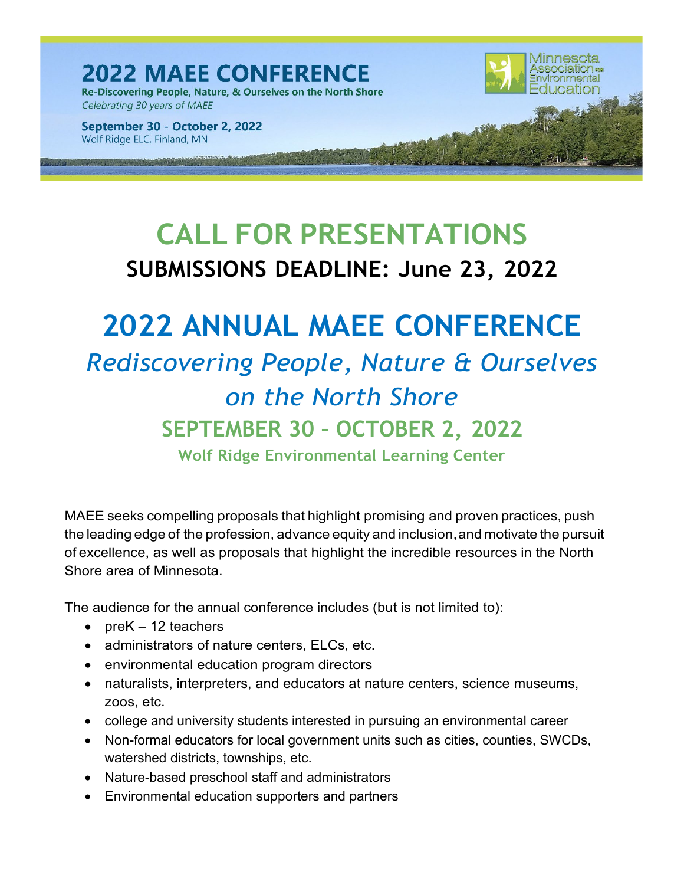**2022 MAEE CONFERENCE** Re-Discovering People, Nature, & Ourselves on the North Shore Celebrating 30 years of MAEE

September 30 - October 2, 2022 Wolf Ridge ELC, Finland, MN

# **CALL FOR PRESENTATIONS SUBMISSIONS DEADLINE: June 23, 2022**

<u>Minnesota</u> **Association FOR** 

# **2022 ANNUAL MAEE CONFERENCE**

*Rediscovering People, Nature & Ourselves on the North Shore* **SEPTEMBER 30 – OCTOBER 2, 2022 Wolf Ridge Environmental Learning Center**

MAEE seeks compelling proposals that highlight promising and proven practices, push the leading edge of the profession, advance equity and inclusion,and motivate the pursuit of excellence, as well as proposals that highlight the incredible resources in the North Shore area of Minnesota.

The audience for the annual conference includes (but is not limited to):

- pre $K 12$  teachers
- administrators of nature centers, ELCs, etc.
- environmental education program directors
- naturalists, interpreters, and educators at nature centers, science museums, zoos, etc.
- college and university students interested in pursuing an environmental career
- Non-formal educators for local government units such as cities, counties, SWCDs, watershed districts, townships, etc.
- Nature-based preschool staff and administrators
- Environmental education supporters and partners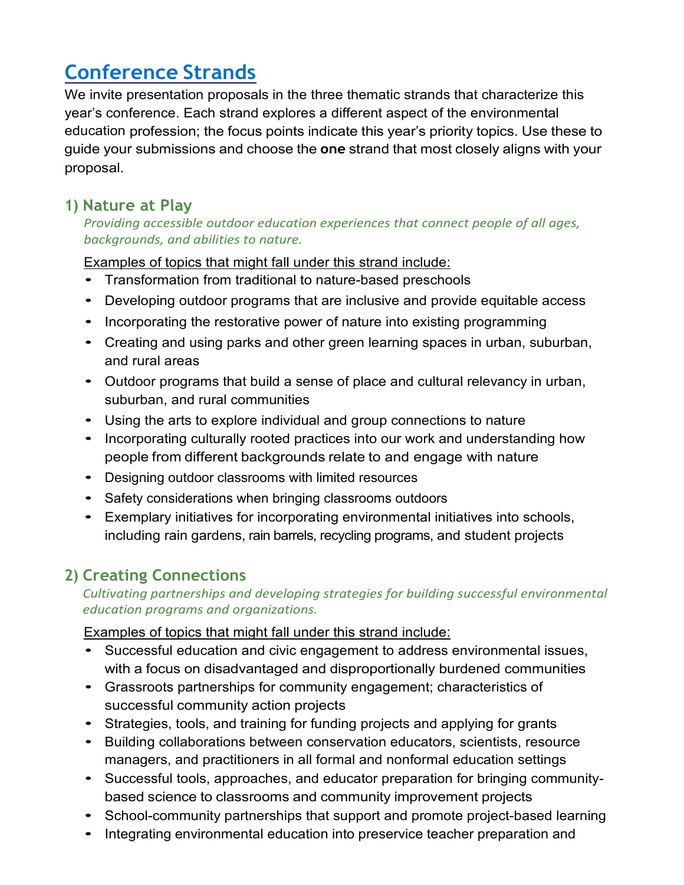## **Conference Strands**

We invite presentation proposals in the three thematic strands that characterize this year's conference. Each strand explores a different aspect of the environmental education profession; the focus points indicate this year's priority topics. Use these to guide your submissions and choose the **one** strand that most closely aligns with your proposal.

#### **1) Nature at Play**

*Providing accessible outdoor education experiences that connect people of all ages, backgrounds, and abilities to nature.*

Examples of topics that might fall under this strand include:

- Transformation from traditional to nature-based preschools
- Developing outdoor programs that are inclusive and provide equitable access
- Incorporating the restorative power of nature into existing programming
- Creating and using parks and other green learning spaces in urban, suburban, and rural areas
- Outdoor programs that build a sense of place and cultural relevancy in urban, suburban, and rural communities
- Using the arts to explore individual and group connections to nature
- Incorporating culturally rooted practices into our work and understanding how people from different backgrounds relate to and engage with nature
- Designing outdoor classrooms with limited resources
- Safety considerations when bringing classrooms outdoors
- Exemplary initiatives for incorporating environmental initiatives into schools, including rain gardens, rain barrels, recycling programs, and student projects

### **2) Creating Connections**

#### *Cultivating partnerships and developing strategies for building successful environmental education programs and organizations.*

Examples of topics that might fall under this strand include:

- Successful education and civic engagement to address environmental issues, with a focus on disadvantaged and disproportionally burdened communities
- Grassroots partnerships for community engagement; characteristics of successful community action projects
- Strategies, tools, and training for funding projects and applying for grants
- Building collaborations between conservation educators, scientists, resource managers, and practitioners in all formal and nonformal education settings
- Successful tools, approaches, and educator preparation for bringing communitybased science to classrooms and community improvement projects
- School-community partnerships that support and promote project-based learning
- Integrating environmental education into preservice teacher preparation and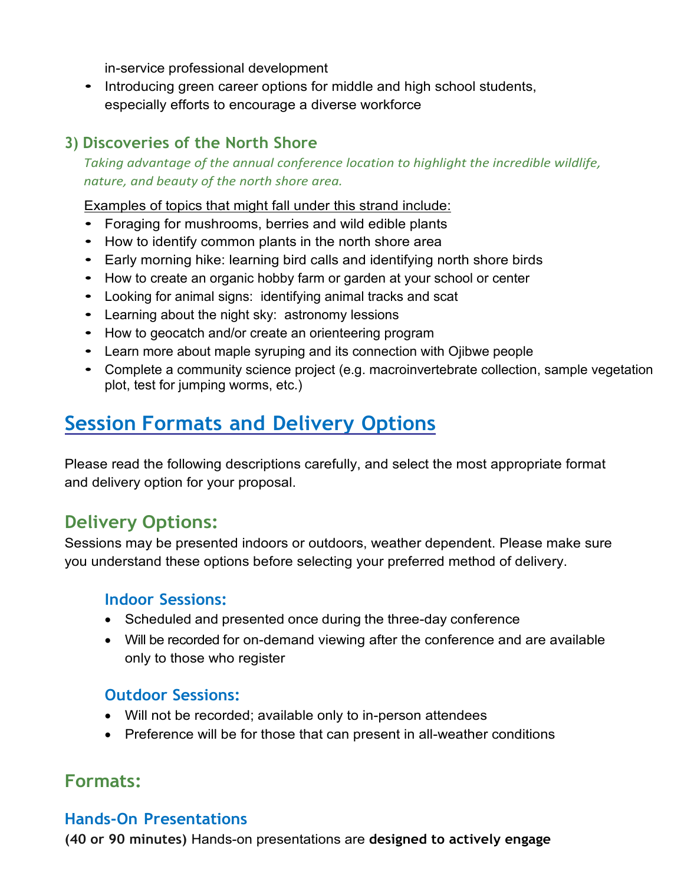in-service professional development

• Introducing green career options for middle and high school students, especially efforts to encourage a diverse workforce

#### **3) Discoveries of the North Shore**

*Taking advantage of the annual conference location to highlight the incredible wildlife, nature, and beauty of the north shore area.*

Examples of topics that might fall under this strand include:

- Foraging for mushrooms, berries and wild edible plants
- How to identify common plants in the north shore area
- Early morning hike: learning bird calls and identifying north shore birds
- How to create an organic hobby farm or garden at your school or center
- Looking for animal signs: identifying animal tracks and scat
- Learning about the night sky: astronomy lessions
- How to geocatch and/or create an orienteering program
- Learn more about maple syruping and its connection with Ojibwe people
- Complete a community science project (e.g. macroinvertebrate collection, sample vegetation plot, test for jumping worms, etc.)

## **Session Formats and Delivery Options**

Please read the following descriptions carefully, and select the most appropriate format and delivery option for your proposal.

### **Delivery Options:**

Sessions may be presented indoors or outdoors, weather dependent. Please make sure you understand these options before selecting your preferred method of delivery.

#### **Indoor Sessions:**

- Scheduled and presented once during the three-day conference
- Will be recorded for on-demand viewing after the conference and are available only to those who register

#### **Outdoor Sessions:**

- Will not be recorded; available only to in-person attendees
- Preference will be for those that can present in all-weather conditions

### **Formats:**

#### **Hands-On Presentations**

**(40 or 90 minutes)** Hands-on presentations are **designed to actively engage**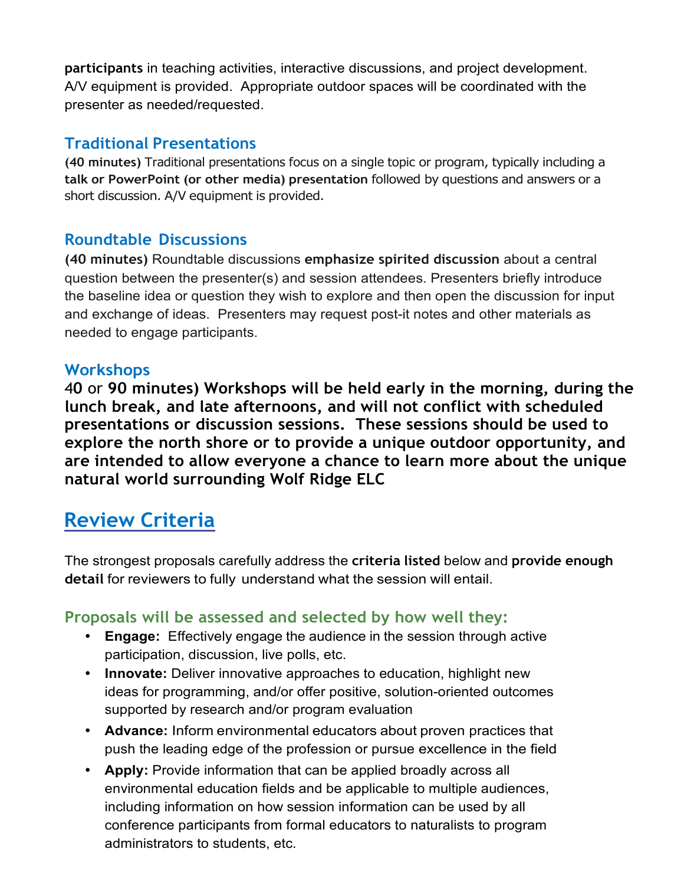**participants** in teaching activities, interactive discussions, and project development. A/V equipment is provided. Appropriate outdoor spaces will be coordinated with the presenter as needed/requested.

#### **Traditional Presentations**

**(40 minutes)** Traditional presentations focus on a single topic or program, typically including a **talk or PowerPoint (or other media) presentation** followed by questions and answers or a short discussion. A/V equipment is provided.

#### **Roundtable Discussions**

**(40 minutes)** Roundtable discussions **emphasize spirited discussion** about a central question between the presenter(s) and session attendees. Presenters briefly introduce the baseline idea or question they wish to explore and then open the discussion for input and exchange of ideas. Presenters may request post-it notes and other materials as needed to engage participants.

#### **Workshops**

4**0** or **90 minutes) Workshops will be held early in the morning, during the lunch break, and late afternoons, and will not conflict with scheduled presentations or discussion sessions. These sessions should be used to explore the north shore or to provide a unique outdoor opportunity, and are intended to allow everyone a chance to learn more about the unique natural world surrounding Wolf Ridge ELC**

### **Review Criteria**

The strongest proposals carefully address the **criteria listed** below and **provide enough detail** for reviewers to fully understand what the session will entail.

#### **Proposals will be assessed and selected by how well they:**

- **Engage:** Effectively engage the audience in the session through active participation, discussion, live polls, etc.
- **Innovate:** Deliver innovative approaches to education, highlight new ideas for programming, and/or offer positive, solution-oriented outcomes supported by research and/or program evaluation
- **Advance:** Inform environmental educators about proven practices that push the leading edge of the profession or pursue excellence in the field
- **Apply:** Provide information that can be applied broadly across all environmental education fields and be applicable to multiple audiences, including information on how session information can be used by all conference participants from formal educators to naturalists to program administrators to students, etc.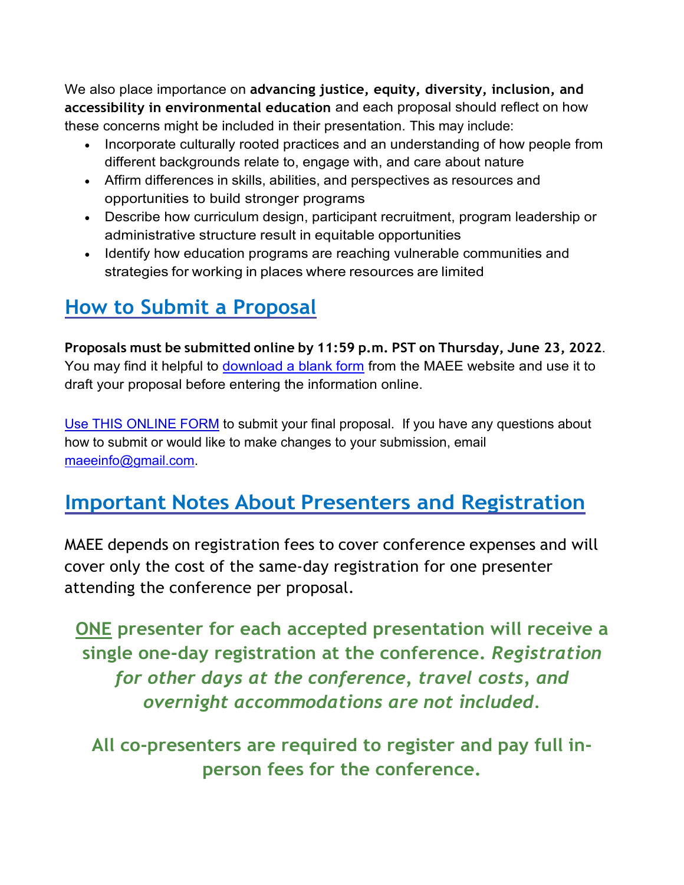We also place importance on **advancing justice, equity, diversity, inclusion, and accessibility in environmental education** and each proposal should reflect on how these concerns might be included in their presentation. This may include:

- Incorporate culturally rooted practices and an understanding of how people from different backgrounds relate to, engage with, and care about nature
- Affirm differences in skills, abilities, and perspectives as resources and opportunities to build stronger programs
- Describe how curriculum design, participant recruitment, program leadership or administrative structure result in equitable opportunities
- Identify how education programs are reaching vulnerable communities and strategies for working in places where resources are limited

## **How to Submit a Proposal**

**Proposals must be submitted online by 11:59 p.m. PST on Thursday, June 23, 2022**. You may find it helpful to download a blank form from the MAEE website and use it to draft your proposal before entering the information online.

Use THIS ONLINE FORM to submit your final proposal. If you have any questions about how to submit or would like to make changes to your submission, email [maeeinfo@gmail.com.](mailto:maeeinfo@gmail.com)

### **Important Notes About Presenters and Registration**

MAEE depends on registration fees to cover conference expenses and will cover only the cost of the same-day registration for one presenter attending the conference per proposal.

**ONE presenter for each accepted presentation will receive a single one-day registration at the conference.** *Registration for other days at the conference, travel costs, and overnight accommodations are not included.*

**All co-presenters are required to register and pay full inperson fees for the conference.**